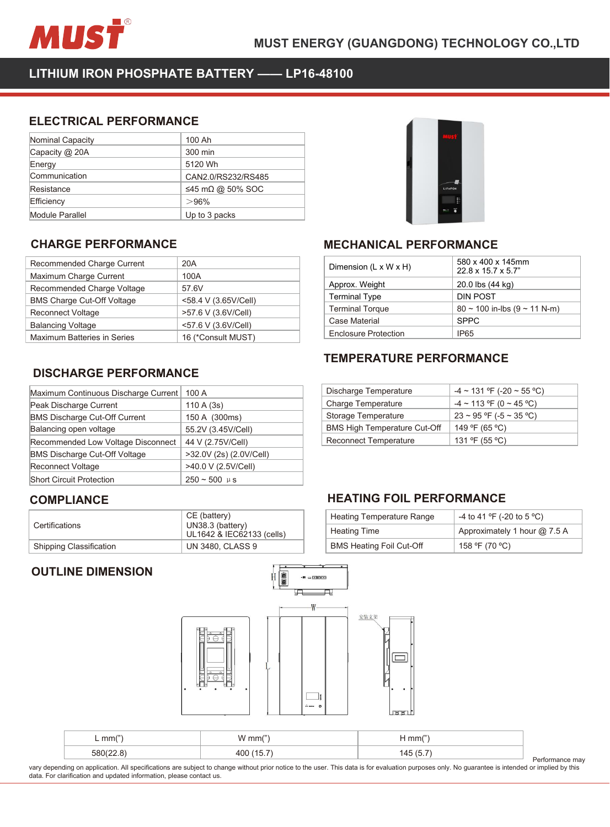

MUST ENERGY (GUANGDONG) TECHN<br>
LITHIUM IRON PHOSPHATE BATTERY —— LP16-48100<br>
ELECTRICAL PERFORMANCE<br>
Nominal Capacity | 100 Ah

| MUST                                        |                      | <b>MUST ENERGY (GUA</b>                    |
|---------------------------------------------|----------------------|--------------------------------------------|
| LITHIUM IRON PHOSPHATE BATTERY - LP16-48100 |                      |                                            |
|                                             |                      |                                            |
| <b>ELECTRICAL PERFORMANCE</b>               |                      |                                            |
| Nominal Capacity                            | 100 Ah               |                                            |
| Capacity @ 20A                              | 300 min              |                                            |
| Energy                                      | 5120 Wh              |                                            |
| Communication                               | CAN2.0/RS232/RS485   |                                            |
| Resistance                                  | ≤45 mΩ @ 50% SOC     |                                            |
| Efficiency                                  | >96%                 |                                            |
| <b>Module Parallel</b>                      | Up to 3 packs        |                                            |
|                                             |                      |                                            |
| <b>CHARGE PERFORMANCE</b>                   |                      | <b>MECHAN</b>                              |
| Recommended Charge Current                  | 20A                  |                                            |
| Maximum Charge Current                      | 100A                 | Dimension (L                               |
| Recommended Charge Voltage                  | 57.6V                | Approx. Weig                               |
| <b>BMS Charge Cut-Off Voltage</b>           | <58.4 V (3.65V/Cell) | <b>Terminal Typ</b><br><b>Terminal Tor</b> |

| டாப்புர                              |                      |                |
|--------------------------------------|----------------------|----------------|
| Communication                        | CAN2.0/RS232/RS485   |                |
| Resistance                           | ≤45 mΩ @ 50% SOC     |                |
| Efficiency                           | >96%                 |                |
| Module Parallel                      | Up to 3 packs        |                |
|                                      |                      |                |
| <b>CHARGE PERFORMANCE</b>            |                      | <b>MECI</b>    |
| Recommended Charge Current           | 20A                  | Dimen          |
| Maximum Charge Current               | 100A                 |                |
| Recommended Charge Voltage           | 57.6V                | Appro:         |
| <b>BMS Charge Cut-Off Voltage</b>    | <58.4 V (3.65V/Cell) | Termir         |
| Reconnect Voltage                    | >57.6 V (3.6V/Cell)  | Termir         |
| <b>Balancing Voltage</b>             | <57.6 V (3.6V/Cell)  | Case I         |
| Maximum Batteries in Series          | 16 (*Consult MUST)   | Enclos         |
| <b>DISCHARGE PERFORMANCE</b>         |                      | <b>TEMF</b>    |
| Maximum Continuous Discharge Current | 100 A                | Discha         |
| Peak Discharge Current               | 110A(3s)             | Charge         |
| <b>BMS Discharge Cut-Off Current</b> | 150 A (300ms)        | <b>Storage</b> |
| Balancing open voltage               | 55.2V (3.45V/Cell)   | <b>BMSH</b>    |
|                                      |                      | $\sim$ $\sim$  |

| Recommended Charge Voltage           | 57.6V                                                         | Approx. Weight                              |
|--------------------------------------|---------------------------------------------------------------|---------------------------------------------|
| <b>BMS Charge Cut-Off Voltage</b>    | <58.4 V (3.65V/Cell)                                          | <b>Terminal Type</b>                        |
| <b>Reconnect Voltage</b>             | >57.6 V (3.6V/Cell)                                           | <b>Terminal Torque</b>                      |
| <b>Balancing Voltage</b>             | <57.6 V (3.6V/Cell)                                           | Case Material                               |
| Maximum Batteries in Series          | 16 (*Consult MUST)                                            | <b>Enclosure Prote</b>                      |
|                                      |                                                               | <b>TEMPERAT</b>                             |
| <b>DISCHARGE PERFORMANCE</b>         |                                                               |                                             |
|                                      |                                                               |                                             |
| Maximum Continuous Discharge Current | 100 A                                                         | Discharge Temp                              |
| Peak Discharge Current               | 110 A (3s)                                                    | Charge Tempera                              |
| <b>BMS Discharge Cut-Off Current</b> | 150 A (300ms)                                                 | Storage Tempera                             |
| Balancing open voltage               | 55.2V (3.45V/Cell)                                            | <b>BMS High Temp</b>                        |
| Recommended Low Voltage Disconnect   | 44 V (2.75V/Cell)                                             | <b>Reconnect Temp</b>                       |
| <b>BMS Discharge Cut-Off Voltage</b> | >32.0V (2s) (2.0V/Cell)                                       |                                             |
| <b>Reconnect Voltage</b>             | >40.0 V (2.5V/Cell)                                           |                                             |
| <b>Short Circuit Protection</b>      | $250 - 500$ µ s                                               |                                             |
| <b>COMPLIANCE</b>                    |                                                               | <b>HEATING F</b>                            |
| Certifications                       | CE (battery)<br>UN38.3 (battery)<br>UL1642 & IEC62133 (cells) | <b>Heating Tempe</b><br><b>Heating Time</b> |
| Shipping Classification              | <b>UN 3480, CLASS 9</b>                                       | <b>BMS Heating F</b>                        |
| <b>OUTLINE DIMENSION</b>             | 日富<br>⋤                                                       | $-$ <b>EXTERNS</b><br>⊐                     |
|                                      |                                                               | W<br>安装支架                                   |

## **COMPLIANCE**

| Certifications          | CE (battery)<br>UN38.3 (battery)<br>UL1642 & IEC62133 (cells) |
|-------------------------|---------------------------------------------------------------|
| Shipping Classification | <b>UN 3480, CLASS 9</b>                                       |





| rv i vv                             |                                         |  |  |
|-------------------------------------|-----------------------------------------|--|--|
| LiFePO4                             |                                         |  |  |
| <b>MECHANICAL PERFORMANCE</b>       |                                         |  |  |
| Dimension (L x W x H)               | 580 x 400 x 145mm<br>22.8 x 15.7 x 5.7" |  |  |
| Approx. Weight                      | 20.0 lbs (44 kg)                        |  |  |
| <b>Terminal Type</b>                | <b>DIN POST</b>                         |  |  |
| <b>Terminal Torque</b>              | $80 \sim 100$ in-lbs (9 ~ 11 N-m)       |  |  |
| <b>Case Material</b>                | <b>SPPC</b>                             |  |  |
| <b>Enclosure Protection</b>         | IP65                                    |  |  |
| <b>TEMPERATURE PERFORMANCE</b>      |                                         |  |  |
| Discharge Temperature               | $-4 \sim 131$ °F (-20 ~ 55 °C)          |  |  |
| <b>Charge Temperature</b>           | $-4 \sim 113$ °F (0 ~ 45 °C)            |  |  |
| Storage Temperature                 | $23 \sim 95$ °F (-5 ~ 35 °C)            |  |  |
| <b>BMS High Temperature Cut-Off</b> | 149 °F (65 °C)                          |  |  |

| Approx. Weight                      | 20.0 lbs (44 kg)                  |
|-------------------------------------|-----------------------------------|
| <b>Terminal Type</b>                | <b>DIN POST</b>                   |
| <b>Terminal Torque</b>              | $80 \sim 100$ in-lbs (9 ~ 11 N-m) |
| Case Material                       | <b>SPPC</b>                       |
| <b>Enclosure Protection</b>         | <b>IP65</b>                       |
| <b>TEMPERATURE PERFORMANCE</b>      |                                   |
| Discharge Temperature               | $-4 \sim 131$ °F (-20 ~ 55 °C)    |
| Charge Temperature                  | $-4 \sim 113$ °F (0 ~ 45 °C)      |
| Storage Temperature                 | $23 \sim 95$ °F (-5 ~ 35 °C)      |
| <b>BMS High Temperature Cut-Off</b> | 149 °F (65 °C)                    |
| <b>Reconnect Temperature</b>        | 131 °F (55 °C)                    |
|                                     |                                   |
| <b>HEATING FOIL PERFORMANCE</b>     |                                   |
| <b>Heating Temperature Range</b>    | -4 to 41 °F (-20 to 5 °C)         |
| <b>Heating Time</b>                 | Approximately 1 hour @ 7.5 A      |

| <b>BMS High Temperature Cut-Off</b><br>149 °F (65 °C)<br>131 °F (55 °C)<br><b>Reconnect Temperature</b><br><b>HEATING FOIL PERFORMANCE</b><br>-4 to 41 °F (-20 to 5 °C)<br><b>Heating Temperature Range</b><br>Approximately 1 hour @ 7.5 A<br><b>Heating Time</b> | $23 \sim 95$ °F (-5 ~ 35 °C) |
|--------------------------------------------------------------------------------------------------------------------------------------------------------------------------------------------------------------------------------------------------------------------|------------------------------|
|                                                                                                                                                                                                                                                                    |                              |
|                                                                                                                                                                                                                                                                    |                              |
|                                                                                                                                                                                                                                                                    |                              |
|                                                                                                                                                                                                                                                                    |                              |
|                                                                                                                                                                                                                                                                    |                              |
|                                                                                                                                                                                                                                                                    |                              |
|                                                                                                                                                                                                                                                                    |                              |
|                                                                                                                                                                                                                                                                    |                              |
| <b>BMS Heating Foil Cut-Off</b><br>158 °F (70 °C)                                                                                                                                                                                                                  |                              |
|                                                                                                                                                                                                                                                                    |                              |



|                                                                     |                                                                                                                                                                                                  | useur.       |                 |
|---------------------------------------------------------------------|--------------------------------------------------------------------------------------------------------------------------------------------------------------------------------------------------|--------------|-----------------|
| $L \, \text{mm}$ ")                                                 | $W$ mm $(")$                                                                                                                                                                                     | $H$ mm $(")$ |                 |
| 580(22.8)                                                           | 400 (15.7)                                                                                                                                                                                       | 145(5.7)     |                 |
| data. For clarification and updated information, please contact us. | vary depending on application. All specifications are subject to change without prior notice to the user. This data is for evaluation purposes only. No guarantee is intended or implied by this |              | Performance may |

Performance may<br>ir implied by this